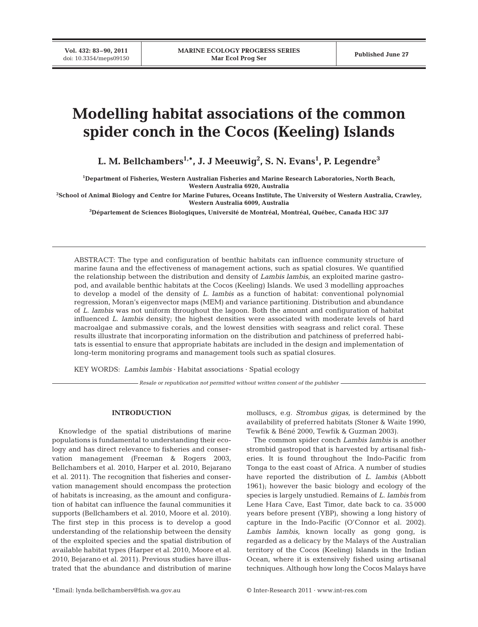**Vol. 432: 83–90, 2011**

# **Modelling habitat associations of the common spider conch in the Cocos (Keeling) Islands**

**L. M. Bellchambers1,\*, J. J Meeuwig2 , S. N. Evans1 , P. Legendre3**

**1 Department of Fisheries, Western Australian Fisheries and Marine Research Laboratories, North Beach, Western Australia 6920, Australia**

**2 School of Animal Biology and Centre for Marine Futures, Oceans Institute, The University of Western Australia, Crawley, Western Australia 6009, Australia**

**3 Département de Sciences Biologiques, Université de Montréal, Montréal, Québec, Canada H3C 3J7**

ABSTRACT: The type and configuration of benthic habitats can influence community structure of marine fauna and the effectiveness of management actions, such as spatial closures. We quantified the relationship between the distribution and density of *Lambis lambis*, an exploited marine gastropod, and available benthic habitats at the Cocos (Keeling) Islands. We used 3 modelling approaches to develop a model of the density of *L. lambis* as a function of habitat: conventional polynomial regression, Moran's eigenvector maps (MEM) and variance partitioning. Distribution and abundance of *L. lambis* was not uniform throughout the lagoon. Both the amount and configuration of habitat influenced *L. lambis* density; the highest densities were associated with moderate levels of hard macroalgae and submassive corals, and the lowest densities with seagrass and relict coral. These results illustrate that incorporating information on the distribution and patchiness of preferred habitats is essential to ensure that appropriate habitats are included in the design and implementation of long-term monitoring programs and management tools such as spatial closures.

KEY WORDS: *Lambis lambis* · Habitat associations · Spatial ecology

*Resale or republication not permitted without written consent of the publisher*

# **INTRODUCTION**

Knowledge of the spatial distributions of marine populations is fundamental to understanding their ecology and has direct relevance to fisheries and conservation management (Freeman & Rogers 2003, Bellchambers et al. 2010, Harper et al. 2010, Bejarano et al. 2011). The recognition that fisheries and conservation management should encompass the protection of habitats is increasing, as the amount and configuration of habitat can influence the faunal communities it supports (Bellchambers et al. 2010, Moore et al. 2010). The first step in this process is to develop a good understanding of the relationship between the density of the exploited species and the spatial distribution of available habitat types (Harper et al. 2010, Moore et al. 2010, Bejarano et al. 2011). Previous studies have illustrated that the abundance and distribution of marine

molluscs, e.g. *Strombus gigas,* is determined by the availability of preferred habitats (Stoner & Waite 1990, Tewfik & Béné 2000, Tewfik & Guzman 2003).

The common spider conch *Lambis lambis* is another strombid gastropod that is harvested by artisanal fisheries. It is found throughout the Indo-Pacific from Tonga to the east coast of Africa. A number of studies have reported the distribution of *L. lambis* (Abbott 1961); however the basic biology and ecology of the species is largely unstudied. Remains of *L. lambis* from Lene Hara Cave, East Timor, date back to ca. 35 000 years before present (YBP), showing a long history of capture in the Indo-Pacific (O'Connor et al. 2002). *Lambis lambis*, known locally as gong gong, is regarded as a delicacy by the Malays of the Australian territory of the Cocos (Keeling) Islands in the Indian Ocean, where it is extensively fished using artisanal techniques. Although how long the Cocos Malays have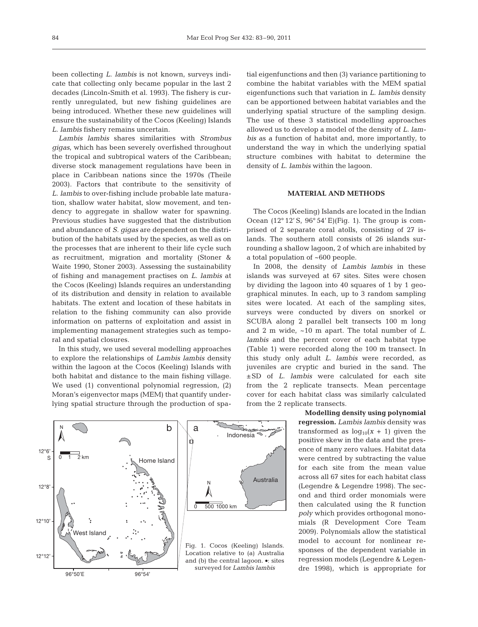been collecting *L. lambis* is not known, surveys indicate that collecting only became popular in the last 2 decades (Lincoln-Smith et al. 1993). The fishery is currently unregulated, but new fishing guidelines are being introduced. Whether these new guidelines will ensure the sustainability of the Cocos (Keeling) Islands *L. lambis* fishery remains uncertain.

*Lambis lambis* shares similarities with *Strombus gigas*, which has been severely overfished throughout the tropical and subtropical waters of the Caribbean; diverse stock management regulations have been in place in Caribbean nations since the 1970s (Theile 2003). Factors that contribute to the sensitivity of *L. lambis* to over-fishing include probable late maturation, shallow water habitat, slow movement, and tendency to aggregate in shallow water for spawning. Previous studies have suggested that the distribution and abundance of *S. gigas* are dependent on the distribution of the habitats used by the species, as well as on the processes that are inherent to their life cycle such as recruitment, migration and mortality (Stoner & Waite 1990, Stoner 2003). Assessing the sustainability of fishing and management practises on *L. lambis* at the Cocos (Keeling) Islands requires an understanding of its distribution and density in relation to available habitats. The extent and location of these habitats in relation to the fishing community can also provide information on patterns of exploitation and assist in implementing management strategies such as temporal and spatial closures.

In this study, we used several modelling approaches to explore the relationships of *Lambis lambis* density within the lagoon at the Cocos (Keeling) Islands with both habitat and distance to the main fishing village. We used (1) conventional polynomial regression, (2) Moran's eigenvector maps (MEM) that quantify underlying spatial structure through the production of spatial eigenfunctions and then (3) variance partitioning to combine the habitat variables with the MEM spatial eigenfunctions such that variation in *L. lambis* density can be apportioned between habitat variables and the underlying spatial structure of the sampling design. The use of these 3 statistical modelling approaches allowed us to develop a model of the density of *L. lambis* as a function of habitat and, more importantly, to understand the way in which the underlying spatial structure combines with habitat to determine the density of *L. lambis* within the lagoon.

# **MATERIAL AND METHODS**

The Cocos (Keeling) Islands are located in the Indian Ocean  $(12^{\circ} 12' S, 96^{\circ} 54' E)$  (Fig. 1). The group is comprised of 2 separate coral atolls, consisting of 27 is lands. The southern atoll consists of 26 islands surrounding a shallow lagoon, 2 of which are inhabited by a total population of ~600 people.

In 2008, the density of *Lambis lambis* in these islands was surveyed at 67 sites. Sites were chosen by dividing the lagoon into 40 squares of 1 by 1 geographical minutes. In each, up to 3 random sampling sites were located. At each of the sampling sites, surveys were conducted by divers on snorkel or SCUBA along 2 parallel belt transects 100 m long and 2 m wide, ~10 m apart. The total number of *L. lambis* and the percent cover of each habitat type (Table 1) were recorded along the 100 m transect. In this study only adult *L. lambis* were recorded, as juveniles are cryptic and buried in the sand. The ±SD of *L. lambis* were calculated for each site from the 2 replicate transects. Mean percentage cover for each habitat class was similarly calculated from the 2 replicate transects.

> **Modelling density using polynomial regression.** *Lambis lambis* density was transformed as  $log_{10}(x + 1)$  given the positive skew in the data and the presence of many zero values. Habitat data were centred by subtracting the value for each site from the mean value across all 67 sites for each habitat class (Legendre & Legendre 1998). The second and third order monomials were then calculated using the R function *poly* which provides orthogonal monomials (R Development Core Team 2009). Polynomials allow the statistical model to account for nonlinear responses of the dependent variable in regression models (Legendre & Legen dre 1998), which is appropriate for

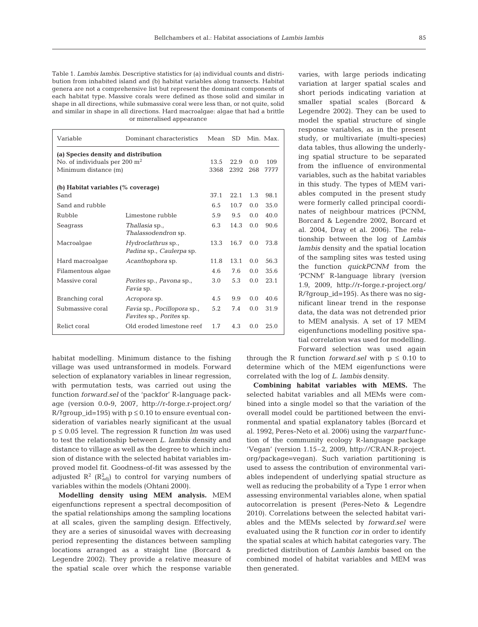Table 1. *Lambis lambis*. Descriptive statistics for (a) individual counts and distribution from inhabited island and (b) habitat variables along transects. Habitat genera are not a comprehensive list but represent the dominant components of each habitat type. Massive corals were defined as those solid and similar in shape in all directions, while submassive coral were less than, or not quite, solid and similar in shape in all directions. Hard macroalgae: algae that had a brittle or mineralised appearance

| Variable                                                                                                 | Dominant characteristics                                | Mean              | SD.          |            | Min. Max.   |
|----------------------------------------------------------------------------------------------------------|---------------------------------------------------------|-------------------|--------------|------------|-------------|
| (a) Species density and distribution<br>No. of individuals per $200 \text{ m}^2$<br>Minimum distance (m) |                                                         | 13.5<br>3368      | 22.9<br>2392 | 0.0<br>268 | 109<br>7777 |
| (b) Habitat variables (% coverage)<br>Sand                                                               |                                                         |                   | 22.1         | 1.3        | 98.1        |
| Sand and rubble                                                                                          |                                                         | 6.5               | 10.7         | 0.0        | 35.0        |
| Rubble                                                                                                   | Limestone rubble                                        | 5.9               | 9.5          | 0.0        | 40.0        |
| Seagrass                                                                                                 | <i>Thallasia</i> sp.,<br>Thalassodendron sp.            | 6.3               | 14.3         | 0.0        | 90.6        |
| Macroalgae                                                                                               | <i>Hydroclathrus</i> sp.,<br>Padina sp., Caulerpa sp.   | 13.3 <sup>2</sup> | 16.7         | 0.0        | 73.8        |
| Hard macroalgae                                                                                          | Acanthophora sp.                                        | 11.8              | 13.1         | 0.0        | 56.3        |
| Filamentous algae                                                                                        |                                                         | 4.6               | 7.6          | 0.0        | 35.6        |
| Massive coral                                                                                            | Porites sp., Pavona sp.,<br>Favia sp.                   | 3.0               | 5.3          | 0.0        | 2.3.1       |
| Branching coral                                                                                          | Acropora sp.                                            | 4.5               | 9.9          | 0.0        | 40.6        |
| Submassive coral                                                                                         | Favia sp., Pocillopora sp.,<br>Favites sp., Porites sp. | 5.2               | 7.4          | 0.0        | 31.9        |
| Relict coral                                                                                             | Old eroded limestone reef                               | 1.7               | 4.3          | 0.0        | 25.0        |

habitat modelling. Minimum distance to the fishing village was used untransformed in models. Forward selection of explanatory variables in linear regression, with permutation tests, was carried out using the function *forward.sel* of the 'packfor' R-language package (version 0.0-9, 2007, http://r-forge.r-project.org/  $R$ ?group\_id=195) with  $p \le 0.10$  to ensure eventual consideration of variables nearly significant at the usual p ≤ 0.05 level. The regression R function *lm* was used to test the relationship between *L. lambis* density and distance to village as well as the degree to which inclusion of distance with the selected habitat variables improved model fit. Goodness-of-fit was assessed by the adjusted  $\mathbb{R}^2$  ( $\mathbb{R}^2_{\text{adj}}$ ) to control for varying numbers of variables within the models (Ohtani 2000).

**Modelling density using MEM analysis.** MEM eigenfunctions represent a spectral decomposition of the spatial relationships among the sampling locations at all scales, given the sampling design. Effectively, they are a series of sinusoidal waves with decreasing period representing the distances between sampling locations arranged as a straight line (Borcard & Legendre 2002). They provide a relative measure of the spatial scale over which the response variable

varies, with large periods indicating variation at larger spatial scales and short periods indicating variation at smaller spatial scales (Borcard & Legendre 2002). They can be used to model the spatial structure of single response variables, as in the present study, or multivariate (multi-species) data tables, thus allowing the underlying spatial structure to be separated from the influence of environmental variables, such as the habitat variables in this study. The types of MEM variables computed in the present study were formerly called principal coordinates of neighbour matrices (PCNM, Borcard & Legendre 2002, Borcard et al. 2004, Dray et al. 2006). The relationship between the log of *Lambis lambis* density and the spatial location of the sampling sites was tested using the function *quickPCNM* from the 'PCNM' R-language library (version 1.9, 2009, http://r-forge.r-project.org/ R/?group\_id=195). As there was no significant linear trend in the response data, the data was not detrended prior to MEM analysis. A set of 17 MEM eigenfunctions modelling positive spatial correlation was used for modelling. Forward selection was used again

through the R function *forward.sel* with  $p \leq 0.10$  to determine which of the MEM eigenfunctions were correlated with the log of *L. lambis* density.

**Combining habitat variables with MEMS.** The selected habitat variables and all MEMs were combined into a single model so that the variation of the overall model could be partitioned between the environmental and spatial explanatory tables (Borcard et al. 1992, Peres-Neto et al. 2006) using the *varpart* function of the community ecology R-language package 'Vegan' (version 1.15–2, 2009, http://CRAN.R-project. org/package=vegan). Such variation partitioning is used to assess the contribution of environmental variables independent of underlying spatial structure as well as reducing the probability of a Type 1 error when assessing environmental variables alone, when spatial autocorrelation is present (Peres-Neto & Legendre 2010). Correlations between the selected habitat variables and the MEMs selected by *forward.sel* were evaluated using the R function *cor* in order to identify the spatial scales at which habitat categories vary. The predicted distribution of *Lambis lambis* based on the combined model of habitat variables and MEM was then generated.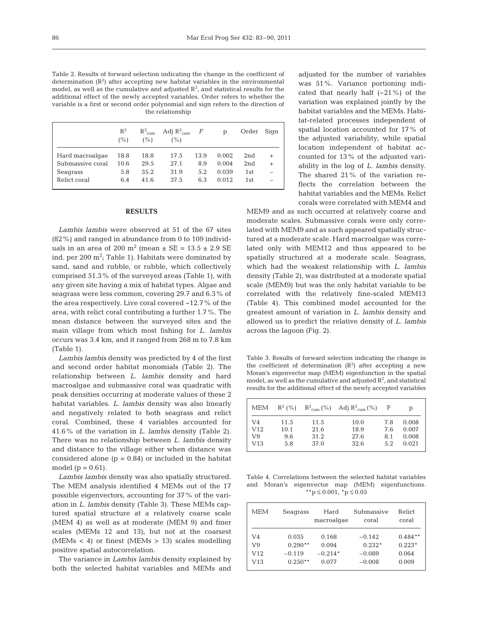Table 2. Results of forward selection indicating the change in the coefficient of determination  $(R^2)$  after accepting new habitat variables in the environmental model, as well as the cumulative and adjusted  $\mathbb{R}^2$ , and statistical results for the additional effect of the newly accepted variables. Order refers to whether the variable is a first or second order polynomial and sign refers to the direction of the relationship

|                  | $R^2$<br>(%) | $R^2_{\text{cum}}$<br>$($ %) | Adj $R^2_{\text{cum}}$ F<br>(%) |      | D     | Order | Sign   |
|------------------|--------------|------------------------------|---------------------------------|------|-------|-------|--------|
| Hard macroalgae  | 18.8         | 18.8                         | 17.5                            | 13.9 | 0.002 | 2nd   | $^{+}$ |
| Submassive coral | 10.6         | 29.5                         | 27.1                            | 8.9  | 0.004 | 2nd   | $^{+}$ |
| Seagrass         | 5.8          | 35.2                         | 31.9                            | 5.2  | 0.039 | 1st   | L.     |
| Relict coral     | 6.4          | 41.6                         | 37.5                            | 6.3  | 0.012 | 1st   |        |

### **RESULTS**

*Lambis lambis* were observed at 51 of the 67 sites (82%) and ranged in abundance from 0 to 109 individuals in an area of 200 m<sup>2</sup> (mean  $\pm$  SE = 13.5  $\pm$  2.9 SE ind. per 200  $\mathrm{m}^2$ ; Table 1). Habitats were dominated by sand, sand and rubble, or rubble, which collectively comprised 51.3% of the surveyed areas (Table 1), with any given site having a mix of habitat types. Algae and seagrass were less common, covering 29.7 and 6.3% of the area respectively. Live coral covered ~12.7% of the area, with relict coral contributing a further 1.7%. The mean distance between the surveyed sites and the main village from which most fishing for *L. lambis* occurs was 3.4 km, and it ranged from 268 m to 7.8 km (Table 1).

*Lambis lambis* density was predicted by 4 of the first and second order habitat monomials (Table 2). The rela tion ship between *L. lambis* density and hard macroalgae and submassive coral was quadratic with peak densities occurring at moderate values of these 2 habitat variables. *L. lambis* density was also linearly and negatively related to both seagrass and relict coral. Combined, these 4 variables accounted for 41.6% of the variation in *L. lambis* density (Table 2). There was no relationship between *L. lambis* density and distance to the village either when distance was considered alone  $(p = 0.84)$  or included in the habitat model ( $p = 0.61$ ).

*Lambis lambis* density was also spatially structured. The MEM analysis identified 4 MEMs out of the 17 possible eigenvectors, accounting for 37% of the variation in *L. lambis* density (Table 3). These MEMs captured spatial structure at a relatively coarse scale (MEM 4) as well as at moderate (MEM 9) and finer scales (MEMs 12 and 13), but not at the coarsest (MEMs  $\langle$  4) or finest (MEMs  $> 13$ ) scales modelling positive spatial autocorrelation.

The variance in *Lambis lambis* density explained by both the selected habitat variables and MEMs and adjusted for the number of variables was 51%. Variance portioning indicated that nearly half  $(-21\%)$  of the variation was explained jointly by the habitat variables and the MEMs. Habitat-related processes independent of spatial location accounted for 17% of the adjusted variability, while spatial location independent of habitat accounted for 13% of the adjusted variability in the log of *L. lambis* density. The shared 21% of the variation reflects the correlation between the habitat variables and the MEMs. Relict corals were correlated with MEM4 and

MEM9 and as such occurred at relatively coarse and moderate scales. Submassive corals were only correlated with MEM9 and as such appeared spatially structured at a moderate scale. Hard macroalgae was correlated only with MEM12 and thus appeared to be spatially structured at a moderate scale. Seagrass, which had the weakest relationship with *L. lambis* density (Table 2), was distributed at a moderate spatial scale (MEM9) but was the only habitat variable to be correlated with the relatively fine-scaled MEM13 (Table 4). This combined model accounted for the greatest amount of variation in *L. lambis* density and allowed us to predict the relative density of *L. lambis* across the lagoon (Fig. 2).

Table 3. Results of forward selection indicating the change in the coefficient of determination  $(R^2)$  after accepting a new Moran's eigenvector map (MEM) eigenfunction in the spatial model, as well as the cumulative and adjusted  $\mathbb{R}^2$ , and statistical results for the additional effect of the newly accepted variables

| MEM             | $R^2(%$ |      | $R^2_{\text{cum}}(\%)$ Adj $R^2_{\text{cum}}(\%)$ | - F | р     |
|-----------------|---------|------|---------------------------------------------------|-----|-------|
| V <sub>4</sub>  | 11.5    | 11.5 | 10.0                                              | 7.8 | 0.008 |
| V <sub>12</sub> | 10.1    | 21.6 | 18.9                                              | 7.6 | 0.007 |
| V9              | 9.6     | 31.2 | 27.6                                              | 8.1 | 0.008 |
| V13             | 5.8     | 37.0 | 32.6                                              | 5.2 | 0.021 |

Table 4. Correlations between the selected habitat variables and Moran's eigenvector map (MEM) eigenfunctions.  $*$ \*p  $\leq 0.001$ ,  $*$ p  $\leq 0.05$ 

| <b>MEM</b> | Seagrass  | Hard<br>macroalgae | Submassive<br>coral | Relict<br>coral |
|------------|-----------|--------------------|---------------------|-----------------|
| V4         | 0.035     | 0.168              | $-0.142$            | $0.484**$       |
| V9         | $0.290**$ | 0.094              | $0.232*$            | $0.223*$        |
| V12        | $-0.119$  | $-0.214*$          | $-0.089$            | 0.064           |
| V13        | $0.250**$ | 0.077              | $-0.008$            | 0.009           |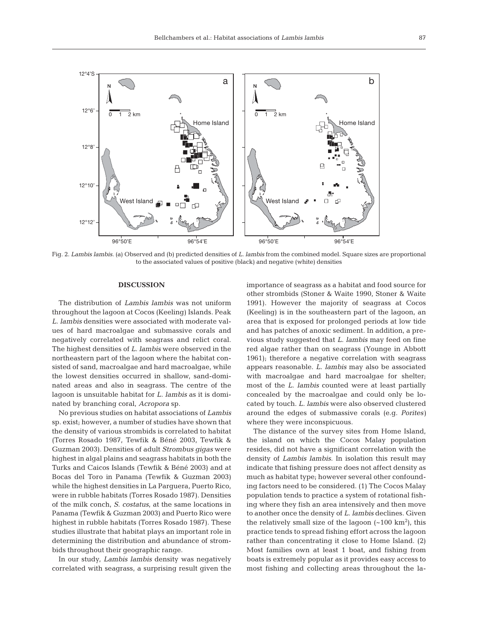

Fig. 2. *Lambis lambis.* (a) Observed and (b) predicted densities of *L. lambis* from the combined model. Square sizes are proportional to the associated values of positive (black) and negative (white) densities

# **DISCUSSION**

The distribution of *Lambis lambis* was not uniform throughout the lagoon at Cocos (Keeling) Islands. Peak *L. lambis* densities were associated with moderate values of hard macroalgae and submassive corals and negatively correlated with seagrass and relict coral. The highest densities of *L. lambis* were observed in the northeastern part of the lagoon where the habitat consisted of sand, macroalgae and hard macroalgae, while the lowest densities occurred in shallow, sand-dominated areas and also in seagrass. The centre of the lagoon is unsuitable habitat for *L. lambis* as it is dominated by branching coral, *Acropora* sp.

No previous studies on habitat associations of *Lambis* sp. exist; however, a number of studies have shown that the density of various strombids is correlated to habitat (Torres Rosado 1987, Tewfik & Béné 2003, Tewfik & Guzman 2003). Densities of adult *Strombus gigas* were highest in algal plains and seagrass habitats in both the Turks and Caicos Islands (Tewfik & Béné 2003) and at Bocas del Toro in Panama (Tewfik & Guzman 2003) while the highest densities in La Parguera, Puerto Rico, were in rubble habitats (Torres Rosado 1987). Densities of the milk conch, *S. costatus*, at the same locations in Panama (Tewfik & Guzman 2003) and Puerto Rico were highest in rubble habitats (Torres Rosado 1987). These studies illustrate that habitat plays an important role in determining the distribution and abundance of strombids throughout their geographic range.

In our study, *Lambis lambis* density was negatively correlated with seagrass, a surprising result given the

importance of seagrass as a habitat and food source for other strombids (Stoner & Waite 1990, Stoner & Waite 1991). However the majority of seagrass at Cocos (Keeling) is in the southeastern part of the lagoon, an area that is exposed for prolonged periods at low tide and has patches of anoxic sediment. In addition, a previous study suggested that *L. lambis* may feed on fine red algae rather than on seagrass (Younge in Abbott 1961); therefore a negative correlation with seagrass ap pears reasonable. *L. lambis* may also be associated with macroalgae and hard macroalgae for shelter; most of the *L. lambis* counted were at least partially concealed by the macroalgae and could only be located by touch. *L. lambis* were also observed clustered around the edges of submassive corals (e.g. *Porites)* where they were inconspicuous.

The distance of the survey sites from Home Island, the island on which the Cocos Malay population resides, did not have a significant correlation with the density of *Lambis lambis*. In isolation this result may indicate that fishing pressure does not affect density as much as habitat type; however several other confounding factors need to be considered. (1) The Cocos Malay population tends to practice a system of rotational fishing where they fish an area intensively and then move to another once the density of *L. lambis* declines. Given the relatively small size of the lagoon  $({\sim}100~{\rm km}^2)$ , this practice tends to spread fishing effort across the lagoon rather than concentrating it close to Home Island. (2) Most families own at least 1 boat, and fishing from boats is extremely popular as it provides easy access to most fishing and collecting areas throughout the la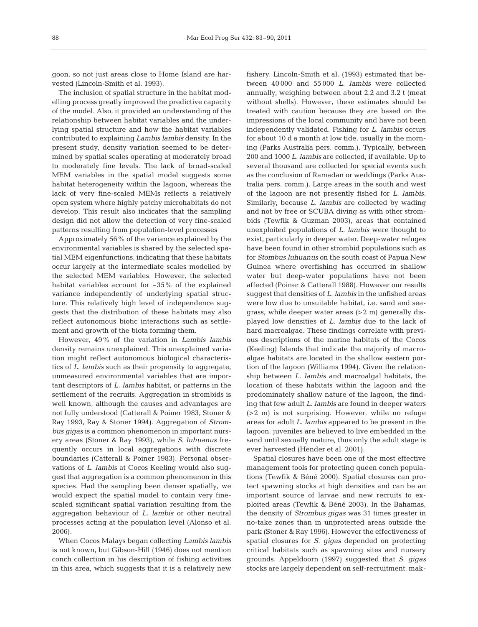goon, so not just areas close to Home Island are harvested (Lincoln-Smith et al. 1993).

The inclusion of spatial structure in the habitat modelling process greatly improved the predictive capacity of the model. Also, it provided an understanding of the relationship between habitat variables and the underlying spatial structure and how the habitat variables contributed to explaining *Lambis lambis* density. In the present study, density variation seemed to be determined by spatial scales operating at moderately broad to moderately fine levels. The lack of broad-scaled MEM variables in the spatial model suggests some habitat heterogeneity within the lagoon, whereas the lack of very fine-scaled MEMs reflects a relatively open system where highly patchy microhabitats do not develop. This result also indicates that the sampling design did not allow the detection of very fine-scaled patterns resulting from population-level processes

Approximately 56% of the variance explained by the environmental variables is shared by the selected spatial MEM eigenfunctions, indicating that these habitats occur largely at the intermediate scales modelled by the selected MEM variables. However, the selected habitat variables account for ~35% of the explained variance independently of underlying spatial structure. This relatively high level of independence suggests that the distribution of these habitats may also reflect autonomous biotic interactions such as settlement and growth of the biota forming them.

However, 49% of the variation in *Lambis lambis* density remains unexplained. This unexplained variation might reflect autonomous biological characteristics of *L. lambis* such as their propensity to aggregate, unmeasured environmental variables that are important descriptors of *L. lambis* habitat, or patterns in the settlement of the recruits. Aggregation in strombids is well known, although the causes and advantages are not fully understood (Catterall & Poiner 1983, Stoner & Ray 1993, Ray & Stoner 1994). Aggregation of *Strombus gigas* is a common phenomenon in important nursery areas (Stoner & Ray 1993), while *S. luhuanus* frequently occurs in local aggregations with discrete boundaries (Catterall & Poiner 1983). Personal observations of *L. lambis* at Cocos Keeling would also suggest that aggregation is a common phenomenon in this species. Had the sampling been denser spatially, we would expect the spatial model to contain very finescaled significant spatial variation resulting from the aggregation behaviour of *L. lambis* or other neutral processes acting at the population level (Alonso et al. 2006).

When Cocos Malays began collecting *Lambis lambis* is not known, but Gibson-Hill (1946) does not mention conch collection in his description of fishing activities in this area, which suggests that it is a relatively new

fishery. Lincoln-Smith et al. (1993) estimated that be tween 40 000 and 55 000 *L. lambis* were collected annually, weighing between about 2.2 and 3.2 t (meat without shells). However, these estimates should be treated with caution because they are based on the impressions of the local community and have not been independently validated. Fishing for *L. lambis* occurs for about 10 d a month at low tide, usually in the morning (Parks Australia pers. comm.). Typically, between 200 and 1000 *L. lambis* are collected, if available. Up to several thousand are collected for special events such as the conclusion of Ramadan or weddings (Parks Australia pers. comm.). Large areas in the south and west of the lagoon are not presently fished for *L. lambis.* Similarly, because *L. lambis* are collected by wading and not by free or SCUBA diving as with other strombids (Tewfik & Guzman 2003), areas that contained unexploited populations of *L. lambis* were thought to exist, particularly in deeper water. Deep-water refuges have been found in other strombid populations such as for *Stombus luhuanus* on the south coast of Papua New Guinea where overfishing has occurred in shallow water but deep-water populations have not been affected (Poiner & Catterall 1988). However our results suggest that densities of *L. lambis* in the unfished areas were low due to unsuitable habitat, i.e. sand and seagrass, while deeper water areas (>2 m) generally displayed low densities of *L. lambis* due to the lack of hard macroalgae. These findings correlate with previous descriptions of the marine habitats of the Cocos (Keeling) Islands that indicate the majority of macroalgae habitats are located in the shallow eastern portion of the lagoon (Williams 1994). Given the relationship be tween *L. lambis* and macroalgal habitats, the location of these habitats within the lagoon and the predominately shallow nature of the lagoon, the finding that few adult *L. lambis* are found in deeper waters (>2 m) is not surprising. However, while no refuge areas for adult *L. lambis* appeared to be present in the lagoon, juveniles are believed to live embedded in the sand until sexually mature, thus only the adult stage is ever harvested (Hender et al. 2001).

Spatial closures have been one of the most effective management tools for protecting queen conch populations (Tewfik & Béné 2000). Spatial closures can protect spawning stocks at high densities and can be an important source of larvae and new recruits to exploited areas (Tewfik & Béné 2003). In the Bahamas, the density of *Strombus gigas* was 31 times greater in no-take zones than in unprotected areas outside the park (Stoner & Ray 1996). However the effectiveness of spatial closures for *S. gigas* depended on protecting critical habitats such as spawning sites and nursery grounds. Appeldoorn (1997) suggested that *S. gigas* stocks are largely dependent on self-recruitment, mak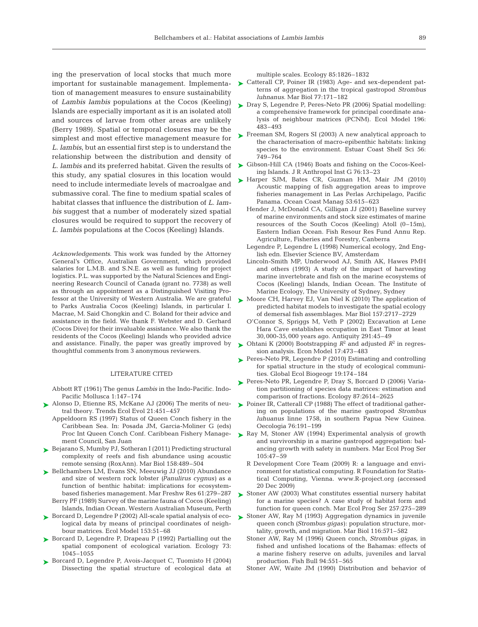ing the preservation of local stocks that much more tion of management measures to ensure sustainability of *Lambis lambis* populations at the Cocos (Keeling) Islands are especially important as it is an isolated atoll and sources of larvae from other areas are unlikely (Berry 1989). Spatial or temporal closures may be the simplest and most effective management measure for *L. lambis*, but an essential first step is to understand the relationship between the distribution and density of this study, any spatial closures in this location would need to include intermediate levels of macroalgae and submassive coral. The fine to medium spatial scales of habitat classes that influence the distribution of *L. lambis* suggest that a number of moderately sized spatial closures would be required to support the recovery of *L. lambis* populations at the Cocos (Keeling) Islands.

*Acknowledgements.* This work was funded by the Attorney General's Office, Australian Government, which provided salaries for L.M.B. and S.N.E. as well as funding for project logistics. P.L. was supported by the Natural Sciences and Engineering Research Council of Canada (grant no. 7738) as well as through an appointment as a Distinguished Visiting Professor at the University of Western Australia. We are grateful to Parks Australia Cocos (Keeling) Islands, in particular I. Macrae, M. Said Chongkin and C. Boland for their advice and assistance in the field. We thank F. Webster and D. Gerhard (Cocos Dive) for their invaluable assistance. We also thank the residents of the Cocos (Keeling) Islands who provided advice and assistance. Finally, the paper was greatly improved by thoughtful comments from 3 anonymous reviewers.

#### LITERATURE CITED

- Abbott RT (1961) The genus *Lambis* in the Indo-Pacific. Indo-Pacific Mollusca 1:147–174
- ► Alonso D, Etienne RS, McKane AJ (2006) The merits of neutral theory. Trends Ecol Evol 21:451–457
	- Appeldoorn RS (1997) Status of Queen Conch fishery in the Caribbean Sea. In: Posada JM, Garcia-Moliner G (eds) Proc Int Queen Conch Conf. Caribbean Fishery Management Council, San Juan
- ► Bejarano S, Mumby PJ, Sotheran I (2011) Predicting structural complexity of reefs and fish abundance using acoustic remote sensing (RoxAnn). Mar Biol 158:489–504
- ► Bellchambers LM, Evans SN, Meeuwig JJ (2010) Abundance and size of western rock lobster *(Panulirus cygnus)* as a function of benthic habitat: implications for ecosystembased fisheries management. Mar Freshw Res 61:279–287 Berry PF (1989) Survey of the marine fauna of Cocos (Keeling) Islands, Indian Ocean. Western Australian Museum, Perth
- ► Borcard D, Legendre P (2002) All-scale spatial analysis of ecological data by means of principal coordinates of neighbour matrices. Ecol Model 153:51–68
- ▶ Borcard D, Legendre P, Drapeau P (1992) Partialling out the spatial component of ecological variation. Ecology 73: 1045–1055
- ► Borcard D, Legendre P, Avois-Jacquet C, Tuomisto H (2004) Dissecting the spatial structure of ecological data at

multiple scales. Ecology 85:1826–1832

- important for sustainable management. Implementa-  $\triangleright$  Catterall CP, Poiner IR (1983) Age- and sex-dependent patterns of aggregation in the tropical gastropod *Strombus luhnanus.* Mar Biol 77:171–182
	- ► Dray S, Legendre P, Peres-Neto PR (2006) Spatial modelling: a comprehensive framework for principal coordinate ana lysis of neighbour matrices (PCNM). Ecol Model 196: 483–493
	- ► Freeman SM, Rogers SI (2003) A new analytical approach to the characterisation of macro-epibenthic habitats: linking species to the environment. Estuar Coast Shelf Sci 56: 749–764
- *L. lambis* and its preferred habitat. Given the results of ► Gibson-Hill CA (1946) Boats and fishing on the Cocos-Keeling Islands. J R Anthropol Inst G 76:13–23
	- ► Harper SJM, Bates CR, Guzman HM, Mair JM (2010) Acoustic mapping of fish aggregation areas to improve fisheries management in Las Perlas Archipelago, Pacific Panama. Ocean Coast Manag 53:615–623
		- Hender J, McDonald CA, Gilligan JJ (2001) Baseline survey of marine environments and stock size estimates of marine resources of the South Cocos (Keeling) Atoll (0–15m), Eastern Indian Ocean. Fish Resour Res Fund Annu Rep. Agriculture, Fisheries and Forestry, Canberra
		- Legendre P, Legendre L (1998) Numerical ecology, 2nd English edn. Elsevier Science BV, Amsterdam
		- Lincoln-Smith MP, Underwood AJ, Smith AK, Hawes PMH and others (1993) A study of the impact of harvesting marine invertebrate and fish on the marine ecosystems of Cocos (Keeling) Islands, Indian Ocean. The Institute of Marine Ecology, The University of Sydney, Sydney
	- ► Moore CH, Harvey EJ, Van Niel K (2010) The application of predicted habitat models to investigate the spatial ecology of demersal fish assemblages. Mar Biol 157:2717–2729
		- O'Connor S, Spriggs M, Veth P (2002) Excavation at Lene Hara Cave establishes occupation in East Timor at least 30,000-35,000 years ago. Antiquity 291:45–49
	- $\blacktriangleright$  Ohtani K (2000) Bootstrapping  $R^2$  and adjusted  $R^2$  in regression analysis. Econ Model 17:473–483
	- ► Peres-Neto PR, Legendre P (2010) Estimating and controlling for spatial structure in the study of ecological communities. Global Ecol Biogeogr 19:174–184
	- ▶ Peres-Neto PR, Legendre P, Dray S, Borcard D (2006) Variation partitioning of species data matrices: estimation and comparison of fractions. Ecology 87:2614–2625
	- ► Poiner IR, Catterall CP (1988) The effect of traditional gathering on populations of the marine gastropod *Strombus luhuanus* linne 1758, in southern Papua New Guinea. Oecologia 76:191–199
	- ► Ray M, Stoner AW (1994) Experimental analysis of growth and survivorship in a marine gastropod aggregation: balancing growth with safety in numbers. Mar Ecol Prog Ser 105:47–59
		- R Development Core Team (2009) R: a language and environment for statistical computing. R Foundation for Statistical Computing, Vienna. www.R-project.org (accessed 20 Dec 2009)
	- ► Stoner AW (2003) What constitutes essential nursery habitation for a marine species? A case study of habitat form and function for queen conch. Mar Ecol Prog Ser 257:275–289
	- ► Stoner AW, Ray M (1993) Aggregation dynamics in juvenile queen conch *(Strombus gigas)*: population structure, mortality, growth, and migration. Mar Biol 116:571–582
		- Stoner AW, Ray M (1996) Queen conch, *Strombus gigas,* in fished and unfished locations of the Bahamas: effects of a marine fishery reserve on adults, juveniles and larval production. Fish Bull 94:551–565
		- Stoner AW, Waite JM (1990) Distribution and behavior of